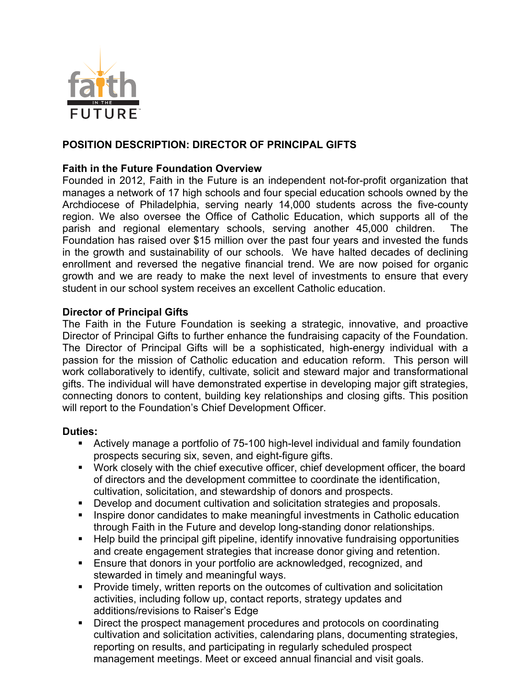

# **POSITION DESCRIPTION: DIRECTOR OF PRINCIPAL GIFTS**

### **Faith in the Future Foundation Overview**

Founded in 2012, Faith in the Future is an independent not-for-profit organization that manages a network of 17 high schools and four special education schools owned by the Archdiocese of Philadelphia, serving nearly 14,000 students across the five-county region. We also oversee the Office of Catholic Education, which supports all of the parish and regional elementary schools, serving another 45,000 children. The Foundation has raised over \$15 million over the past four years and invested the funds in the growth and sustainability of our schools. We have halted decades of declining enrollment and reversed the negative financial trend. We are now poised for organic growth and we are ready to make the next level of investments to ensure that every student in our school system receives an excellent Catholic education.

#### **Director of Principal Gifts**

The Faith in the Future Foundation is seeking a strategic, innovative, and proactive Director of Principal Gifts to further enhance the fundraising capacity of the Foundation. The Director of Principal Gifts will be a sophisticated, high-energy individual with a passion for the mission of Catholic education and education reform. This person will work collaboratively to identify, cultivate, solicit and steward major and transformational gifts. The individual will have demonstrated expertise in developing major gift strategies, connecting donors to content, building key relationships and closing gifts. This position will report to the Foundation's Chief Development Officer.

#### **Duties:**

- Actively manage a portfolio of 75-100 high-level individual and family foundation prospects securing six, seven, and eight-figure gifts.
- § Work closely with the chief executive officer, chief development officer, the board of directors and the development committee to coordinate the identification, cultivation, solicitation, and stewardship of donors and prospects.
- Develop and document cultivation and solicitation strategies and proposals.
- Inspire donor candidates to make meaningful investments in Catholic education through Faith in the Future and develop long-standing donor relationships.
- Help build the principal gift pipeline, identify innovative fundraising opportunities and create engagement strategies that increase donor giving and retention.
- § Ensure that donors in your portfolio are acknowledged, recognized, and stewarded in timely and meaningful ways.
- Provide timely, written reports on the outcomes of cultivation and solicitation activities, including follow up, contact reports, strategy updates and additions/revisions to Raiser's Edge
- Direct the prospect management procedures and protocols on coordinating cultivation and solicitation activities, calendaring plans, documenting strategies, reporting on results, and participating in regularly scheduled prospect management meetings. Meet or exceed annual financial and visit goals.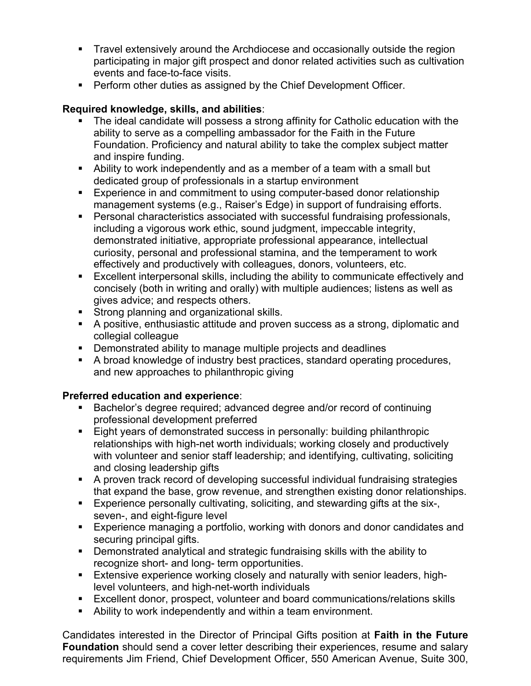- Travel extensively around the Archdiocese and occasionally outside the region participating in major gift prospect and donor related activities such as cultivation events and face-to-face visits.
- Perform other duties as assigned by the Chief Development Officer.

# **Required knowledge, skills, and abilities**:

- The ideal candidate will possess a strong affinity for Catholic education with the ability to serve as a compelling ambassador for the Faith in the Future Foundation. Proficiency and natural ability to take the complex subject matter and inspire funding.
- Ability to work independently and as a member of a team with a small but dedicated group of professionals in a startup environment
- Experience in and commitment to using computer-based donor relationship management systems (e.g., Raiser's Edge) in support of fundraising efforts.
- Personal characteristics associated with successful fundraising professionals, including a vigorous work ethic, sound judgment, impeccable integrity, demonstrated initiative, appropriate professional appearance, intellectual curiosity, personal and professional stamina, and the temperament to work effectively and productively with colleagues, donors, volunteers, etc.
- Excellent interpersonal skills, including the ability to communicate effectively and concisely (both in writing and orally) with multiple audiences; listens as well as gives advice; and respects others.
- Strong planning and organizational skills.
- § A positive, enthusiastic attitude and proven success as a strong, diplomatic and collegial colleague
- Demonstrated ability to manage multiple projects and deadlines
- A broad knowledge of industry best practices, standard operating procedures, and new approaches to philanthropic giving

# **Preferred education and experience**:

- Bachelor's degree required; advanced degree and/or record of continuing professional development preferred
- Eight years of demonstrated success in personally: building philanthropic relationships with high-net worth individuals; working closely and productively with volunteer and senior staff leadership; and identifying, cultivating, soliciting and closing leadership gifts
- A proven track record of developing successful individual fundraising strategies that expand the base, grow revenue, and strengthen existing donor relationships.
- Experience personally cultivating, soliciting, and stewarding gifts at the six-, seven-, and eight-figure level
- Experience managing a portfolio, working with donors and donor candidates and securing principal gifts.
- Demonstrated analytical and strategic fundraising skills with the ability to recognize short- and long- term opportunities.
- **Extensive experience working closely and naturally with senior leaders, high**level volunteers, and high-net-worth individuals
- § Excellent donor, prospect, volunteer and board communications/relations skills
- § Ability to work independently and within a team environment.

Candidates interested in the Director of Principal Gifts position at **Faith in the Future Foundation** should send a cover letter describing their experiences, resume and salary requirements Jim Friend, Chief Development Officer, 550 American Avenue, Suite 300,